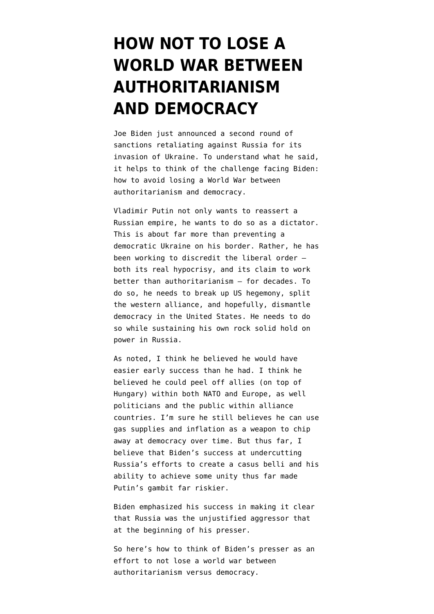# **[HOW NOT TO LOSE A](https://www.emptywheel.net/2022/02/24/how-not-to-lose-a-world-war-between-authoritarianism-and-democracy/) [WORLD WAR BETWEEN](https://www.emptywheel.net/2022/02/24/how-not-to-lose-a-world-war-between-authoritarianism-and-democracy/) [AUTHORITARIANISM](https://www.emptywheel.net/2022/02/24/how-not-to-lose-a-world-war-between-authoritarianism-and-democracy/) [AND DEMOCRACY](https://www.emptywheel.net/2022/02/24/how-not-to-lose-a-world-war-between-authoritarianism-and-democracy/)**

Joe Biden just announced [a second round of](https://www.c-span.org/video/?518182-1/president-biden-announces-sanctions-warns-vladimir-putins-ambitions-larger-ukraine) [sanctions](https://www.c-span.org/video/?518182-1/president-biden-announces-sanctions-warns-vladimir-putins-ambitions-larger-ukraine) retaliating against Russia for its invasion of Ukraine. To understand what he said, it helps to think of the challenge facing Biden: how to avoid losing a World War between authoritarianism and democracy.

Vladimir Putin not only wants to reassert a Russian empire, he wants to do so as a dictator. This is about far more than preventing a democratic Ukraine on his border. Rather, he has been working to discredit the liberal order both its real hypocrisy, and its claim to work better than authoritarianism — for decades. To do so, he needs to break up US hegemony, split the western alliance, and hopefully, dismantle democracy in the United States. He needs to do so while sustaining his own rock solid hold on power in Russia.

[As noted,](https://www.emptywheel.net/2022/02/23/putins-playmates-remind-trumpsters-theyve-been-trained-to-love-putin/) I think he believed he would have easier early success than he had. I think he believed he could peel off allies (on top of Hungary) within both NATO and Europe, as well politicians and the public within alliance countries. I'm sure he still believes he can use gas supplies and inflation as a weapon to chip away at democracy over time. But thus far, I believe that Biden's success at undercutting Russia's efforts to create a casus belli and his ability to achieve some unity thus far made Putin's gambit far riskier.

Biden emphasized his success in making it clear that Russia was the unjustified aggressor that at the beginning of his presser.

So here's how to think of Biden's presser as an effort to not lose a world war between authoritarianism versus democracy.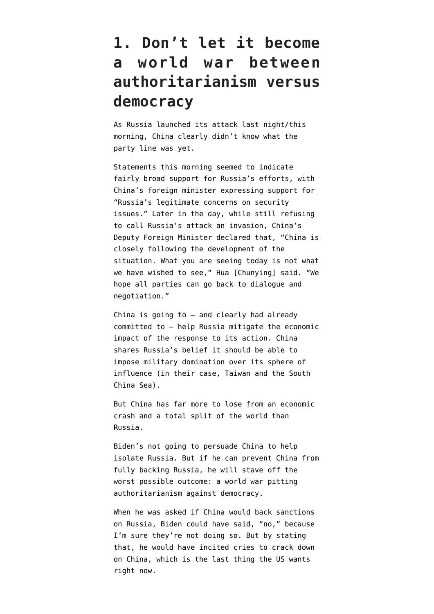### **1. Don't let it become a world war between authoritarianism versus democracy**

As Russia launched its attack last night/this morning, China clearly didn't know what the party line was yet.

Statements this morning [seemed](https://twitter.com/W7VOA/status/1496817409461739531) to indicate fairly broad support for Russia's efforts, with China's foreign minister expressing support for "Russia's legitimate concerns on security issues." Later in the day, while still refusing to call Russia's attack an invasion, China's Deputy Foreign Minister [declared](https://www.cnbc.com/2022/02/24/china-refuses-to-call-attack-on-ukraine-an-invasion-blames-us.html) that, "China is closely following the development of the situation. What you are seeing today is not what we have wished to see," Hua [Chunying] said. "We hope all parties can go back to dialogue and negotiation."

China is going to — and clearly had already committed to — help Russia mitigate the economic impact of the response to its action. China shares Russia's belief it should be able to impose military domination over its sphere of influence (in their case, Taiwan and the South China Sea).

But China has far more to lose from an economic crash and a total split of the world than Russia.

Biden's not going to persuade China to help isolate Russia. But if he can prevent China from fully backing Russia, he will stave off the worst possible outcome: a world war pitting authoritarianism against democracy.

When he was asked if China would back sanctions on Russia, Biden could have said, "no," because I'm sure they're not doing so. But by stating that, he would have incited cries to crack down on China, which is the last thing the US wants right now.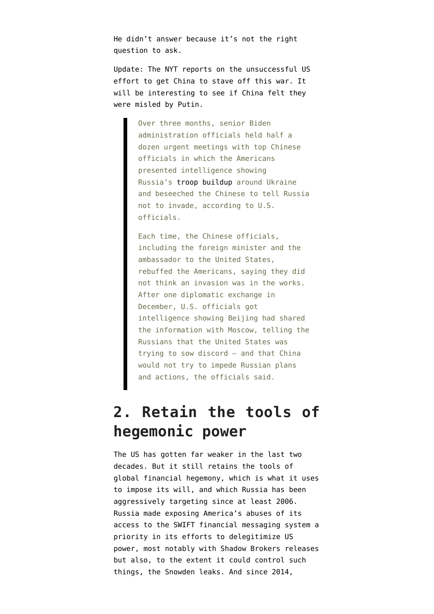He didn't answer because it's not the right question to ask.

Update: The NYT [reports](https://www.nytimes.com/2022/02/25/us/politics/us-china-russia-ukraine.html) on the unsuccessful US effort to get China to stave off this war. It will be interesting to see if China felt they were misled by Putin.

> Over three months, senior Biden administration officials held half a dozen urgent meetings with top Chinese officials in which the Americans presented intelligence showing Russia's [troop buildup](https://www.nytimes.com/interactive/2022/world/europe/ukraine-maps.html) around Ukraine and beseeched the Chinese to tell Russia not to invade, according to U.S. officials.

> Each time, the Chinese officials, including the foreign minister and the ambassador to the United States, rebuffed the Americans, saying they did not think an invasion was in the works. After one diplomatic exchange in December, U.S. officials got intelligence showing Beijing had shared the information with Moscow, telling the Russians that the United States was trying to sow discord — and that China would not try to impede Russian plans and actions, the officials said.

#### **2. Retain the tools of hegemonic power**

The US has gotten far weaker in the last two decades. But it still retains the tools of global financial hegemony, which is what it uses to impose its will, and which Russia has been aggressively targeting since at least 2006. Russia made exposing America's abuses of its access to the SWIFT financial messaging system a priority in its efforts to delegitimize US power, most notably with Shadow Brokers releases but also, to the extent it could control such things, the Snowden leaks. And since 2014,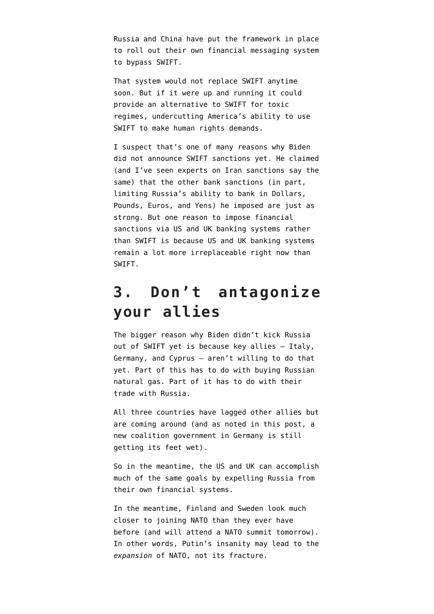Russia and China have put the framework in place to roll out their own financial messaging system to bypass SWIFT.

That system would not replace SWIFT anytime soon. But if it were up and running it could provide an alternative to SWIFT for toxic regimes, undercutting America's ability to use SWIFT to make human rights demands.

I suspect that's one of many reasons why Biden did not announce SWIFT sanctions yet. He claimed (and I've seen experts on Iran sanctions say the same) that the other bank sanctions (in part, limiting Russia's ability to bank in Dollars, Pounds, Euros, and Yens) he imposed are just as strong. But one reason to impose financial sanctions via US and UK banking systems rather than SWIFT is because US and UK banking systems remain a lot more irreplaceable right now than SWIFT.

#### **3. Don't antagonize your allies**

The bigger reason why Biden didn't kick Russia out of SWIFT yet is because key allies — Italy, Germany, and Cyprus — aren't willing to do that yet. Part of this has to do with buying Russian natural gas. Part of it has to do with their trade with Russia.

All three countries have lagged other allies but are coming around (and as noted [in this post](https://www.emptywheel.net/2022/02/24/ukraine-defends-democracy/), a new coalition government in Germany is still getting its feet wet).

So in the meantime, the US and UK can accomplish much of the same goals by expelling Russia from their own financial systems.

In the meantime, Finland and Sweden look much closer to joining NATO than they ever have before (and will attend a NATO summit tomorrow). In other words, Putin's insanity may lead to the *expansion* of NATO, not its fracture.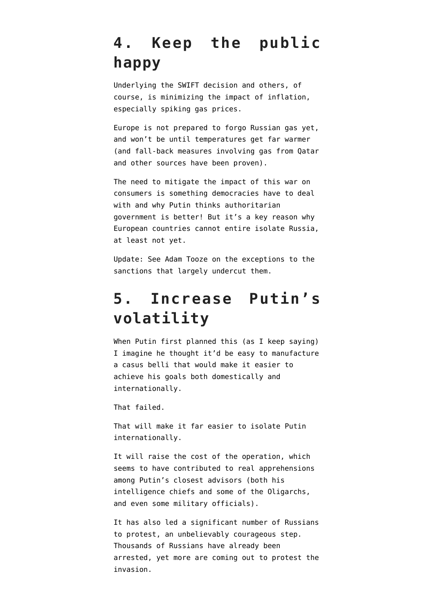## **4. Keep the public happy**

Underlying the SWIFT decision and others, of course, is minimizing the impact of inflation, especially spiking gas prices.

Europe is not prepared to forgo Russian gas yet, and won't be until temperatures get far warmer (and fall-back measures involving gas from Qatar and other sources have been proven).

The need to mitigate the impact of this war on consumers is something democracies have to deal with and why Putin thinks authoritarian government is better! But it's a key reason why European countries cannot entire isolate Russia, at least not yet.

Update: See [Adam Tooze on the exceptions](https://t.co/FI4tCed39I) to the sanctions that largely undercut them.

#### **5. Increase Putin's volatility**

When Putin first planned this (as I keep saving) I imagine he thought it'd be easy to manufacture a casus belli that would make it easier to achieve his goals both domestically and internationally.

That failed.

That will make it far easier to isolate Putin internationally.

It will raise the cost of the operation, which seems to have contributed to real apprehensions among Putin's closest advisors (both his intelligence chiefs and some of the Oligarchs, and even some military officials).

It has also led a significant number of Russians to protest, an unbelievably courageous step. Thousands of Russians have already been arrested, yet more are coming out to protest the invasion.